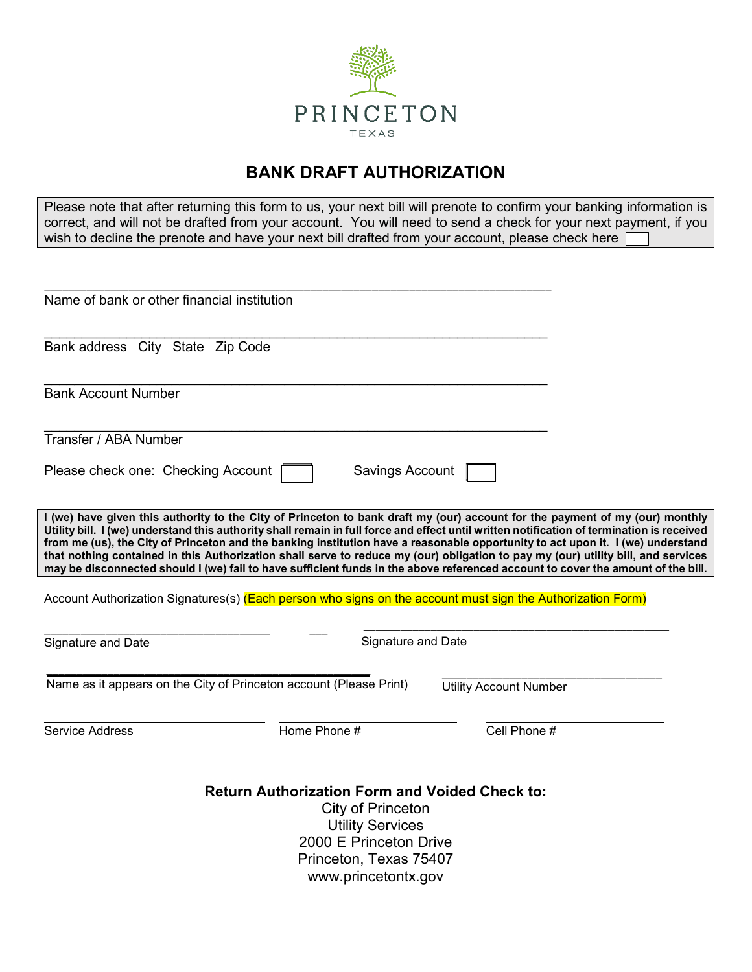

## **BANK DRAFT AUTHORIZATION**

Please note that after returning this form to us, your next bill will prenote to confirm your banking information is correct, and will not be drafted from your account. You will need to send a check for your next payment, if you wish to decline the prenote and have your next bill drafted from your account, please check here

| Name of bank or other financial institution                                                                                                                                                                                                                                                                                                                                                                                                                                                                                                                                                                                                                                            |                           |                               |  |
|----------------------------------------------------------------------------------------------------------------------------------------------------------------------------------------------------------------------------------------------------------------------------------------------------------------------------------------------------------------------------------------------------------------------------------------------------------------------------------------------------------------------------------------------------------------------------------------------------------------------------------------------------------------------------------------|---------------------------|-------------------------------|--|
| Bank address City State Zip Code                                                                                                                                                                                                                                                                                                                                                                                                                                                                                                                                                                                                                                                       |                           |                               |  |
| <b>Bank Account Number</b>                                                                                                                                                                                                                                                                                                                                                                                                                                                                                                                                                                                                                                                             |                           |                               |  |
| Transfer / ABA Number                                                                                                                                                                                                                                                                                                                                                                                                                                                                                                                                                                                                                                                                  |                           |                               |  |
| Please check one: Checking Account                                                                                                                                                                                                                                                                                                                                                                                                                                                                                                                                                                                                                                                     | Savings Account           |                               |  |
| I (we) have given this authority to the City of Princeton to bank draft my (our) account for the payment of my (our) monthly<br>Utility bill. I (we) understand this authority shall remain in full force and effect until written notification of termination is received<br>from me (us), the City of Princeton and the banking institution have a reasonable opportunity to act upon it. I (we) understand<br>that nothing contained in this Authorization shall serve to reduce my (our) obligation to pay my (our) utility bill, and services<br>may be disconnected should I (we) fail to have sufficient funds in the above referenced account to cover the amount of the bill. |                           |                               |  |
| Account Authorization Signatures(s) (Each person who signs on the account must sign the Authorization Form)                                                                                                                                                                                                                                                                                                                                                                                                                                                                                                                                                                            |                           |                               |  |
| Signature and Date                                                                                                                                                                                                                                                                                                                                                                                                                                                                                                                                                                                                                                                                     | <b>Signature and Date</b> |                               |  |
| Name as it appears on the City of Princeton account (Please Print)                                                                                                                                                                                                                                                                                                                                                                                                                                                                                                                                                                                                                     |                           | <b>Utility Account Number</b> |  |
| Service Address                                                                                                                                                                                                                                                                                                                                                                                                                                                                                                                                                                                                                                                                        | Home Phone #              | Cell Phone #                  |  |
| <b>Return Authorization Form and Voided Check to:</b><br>City of Princeton<br><b>Utility Services</b><br>2000 E Princeton Drive<br>Princeton, Texas 75407<br>www.princetontx.gov                                                                                                                                                                                                                                                                                                                                                                                                                                                                                                       |                           |                               |  |